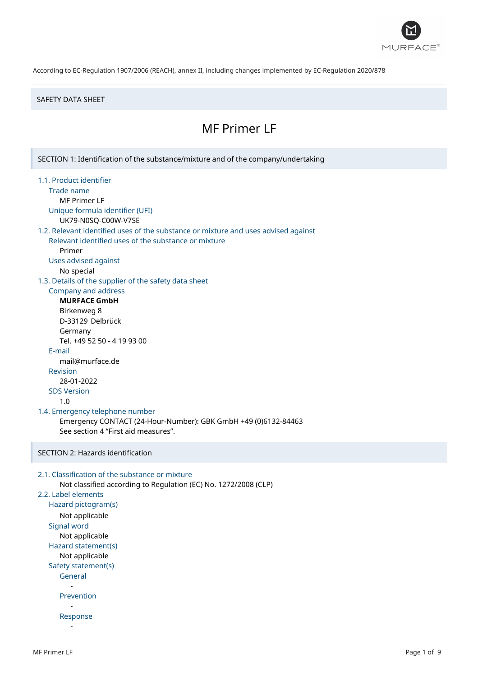

#### SAFETY DATA SHEET

# MF Primer LF

SECTION 1: Identification of the substance/mixture and of the company/undertaking 1.1. Product identifier Trade name MF Primer LF Unique formula identifier (UFI) UK79-N0SQ-C00W-V7SE 1.2. Relevant identified uses of the substance or mixture and uses advised against Relevant identified uses of the substance or mixture Primer Uses advised against No special 1.3. Details of the supplier of the safety data sheet Company and address **MURFACE GmbH** Birkenweg 8 D-33129 Delbrück Germany Tel. +49 52 50 - 4 19 93 00 E-mail mail@murface.de Revision 28-01-2022 SDS Version 1.0 1.4. Emergency telephone number Emergency CONTACT (24-Hour-Number): GBK GmbH +49 (0)6132-84463 See section 4 "First aid measures". SECTION 2: Hazards identification 2.1. Classification of the substance or mixture Not classified according to Regulation (EC) No. 1272/2008 (CLP) 2.2. Label elements Hazard pictogram(s) Not applicable Signal word Not applicable Hazard statement(s) Not applicable Safety statement(s) General - Prevention - Response -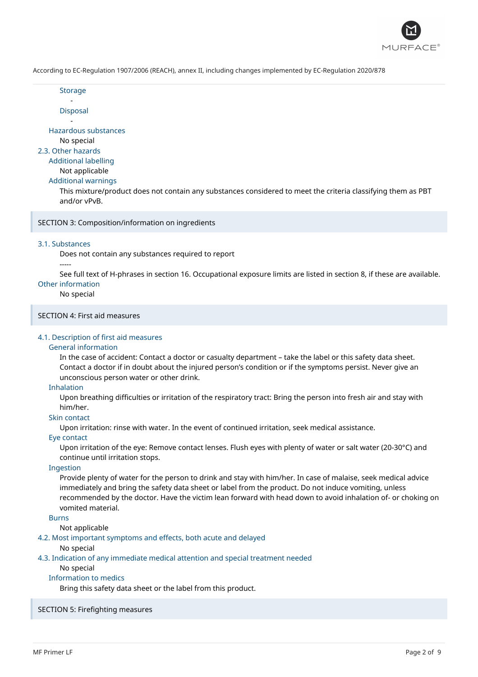

**Storage** -

Disposal

- Hazardous substances

No special

2.3. Other hazards

## Additional labelling

Not applicable

Additional warnings

This mixture/product does not contain any substances considered to meet the criteria classifying them as PBT and/or vPvB.

SECTION 3: Composition/information on ingredients

## 3.1. Substances

Does not contain any substances required to report

#### -----

See full text of H-phrases in section 16. Occupational exposure limits are listed in section 8, if these are available. Other information

## No special

SECTION 4: First aid measures

## 4.1. Description of first aid measures

## General information

In the case of accident: Contact a doctor or casualty department – take the label or this safety data sheet. Contact a doctor if in doubt about the injured person's condition or if the symptoms persist. Never give an unconscious person water or other drink.

#### Inhalation

Upon breathing difficulties or irritation of the respiratory tract: Bring the person into fresh air and stay with him/her.

## Skin contact

Upon irritation: rinse with water. In the event of continued irritation, seek medical assistance.

## Eye contact

Upon irritation of the eye: Remove contact lenses. Flush eyes with plenty of water or salt water (20-30°C) and continue until irritation stops.

#### Ingestion

Provide plenty of water for the person to drink and stay with him/her. In case of malaise, seek medical advice immediately and bring the safety data sheet or label from the product. Do not induce vomiting, unless recommended by the doctor. Have the victim lean forward with head down to avoid inhalation of- or choking on vomited material.

## Burns

Not applicable

## 4.2. Most important symptoms and effects, both acute and delayed

No special

4.3. Indication of any immediate medical attention and special treatment needed

## No special

## Information to medics

Bring this safety data sheet or the label from this product.

## SECTION 5: Firefighting measures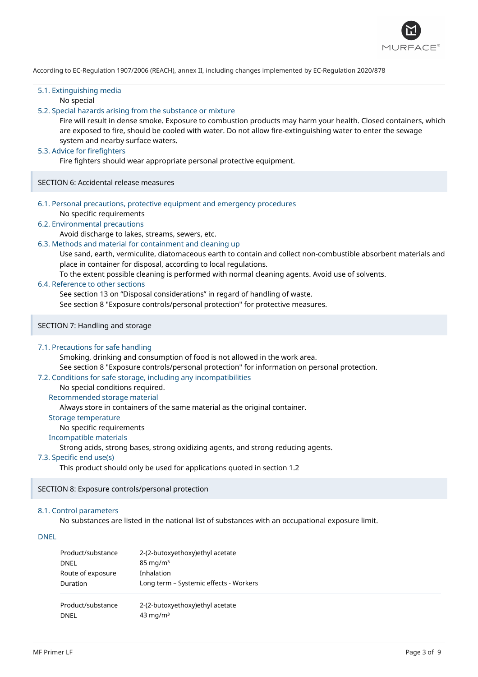

## 5.1. Extinguishing media

No special

## 5.2. Special hazards arising from the substance or mixture

Fire will result in dense smoke. Exposure to combustion products may harm your health. Closed containers, which are exposed to fire, should be cooled with water. Do not allow fire-extinguishing water to enter the sewage system and nearby surface waters.

### 5.3. Advice for firefighters

Fire fighters should wear appropriate personal protective equipment.

SECTION 6: Accidental release measures

6.1. Personal precautions, protective equipment and emergency procedures No specific requirements

#### 6.2. Environmental precautions

Avoid discharge to lakes, streams, sewers, etc.

## 6.3. Methods and material for containment and cleaning up

Use sand, earth, vermiculite, diatomaceous earth to contain and collect non-combustible absorbent materials and place in container for disposal, according to local regulations.

To the extent possible cleaning is performed with normal cleaning agents. Avoid use of solvents.

#### 6.4. Reference to other sections

See section 13 on "Disposal considerations" in regard of handling of waste.

See section 8 "Exposure controls/personal protection" for protective measures.

SECTION 7: Handling and storage

#### 7.1. Precautions for safe handling

Smoking, drinking and consumption of food is not allowed in the work area.

See section 8 "Exposure controls/personal protection" for information on personal protection.

## 7.2. Conditions for safe storage, including any incompatibilities

No special conditions required.

#### Recommended storage material

Always store in containers of the same material as the original container.

#### Storage temperature

No specific requirements

## Incompatible materials

Strong acids, strong bases, strong oxidizing agents, and strong reducing agents.

#### 7.3. Specific end use(s)

This product should only be used for applications quoted in section 1.2

## SECTION 8: Exposure controls/personal protection

#### 8.1. Control parameters

No substances are listed in the national list of substances with an occupational exposure limit.

DNEL

| Product/substance | 2-(2-butoxyethoxy) ethyl acetate       |  |
|-------------------|----------------------------------------|--|
| DNEL              | $85 \text{ mg/m}^3$                    |  |
| Route of exposure | Inhalation                             |  |
| Duration          | Long term - Systemic effects - Workers |  |
| Product/substance | 2-(2-butoxyethoxy)ethyl acetate        |  |
| DNFI              | $43 \text{ mg/m}^3$                    |  |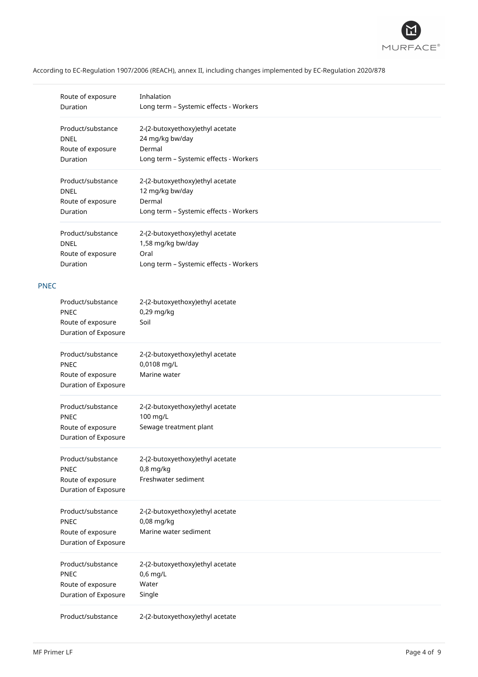

|             | Route of exposure<br>Duration                                                        | Inhalation<br>Long term - Systemic effects - Workers                                                   |
|-------------|--------------------------------------------------------------------------------------|--------------------------------------------------------------------------------------------------------|
|             | Product/substance<br><b>DNEL</b><br>Route of exposure<br>Duration                    | 2-(2-butoxyethoxy)ethyl acetate<br>24 mg/kg bw/day<br>Dermal<br>Long term - Systemic effects - Workers |
|             | Product/substance<br><b>DNEL</b><br>Route of exposure<br>Duration                    | 2-(2-butoxyethoxy)ethyl acetate<br>12 mg/kg bw/day<br>Dermal<br>Long term - Systemic effects - Workers |
|             | Product/substance<br><b>DNEL</b><br>Route of exposure<br>Duration                    | 2-(2-butoxyethoxy)ethyl acetate<br>1,58 mg/kg bw/day<br>Oral<br>Long term - Systemic effects - Workers |
| <b>PNEC</b> |                                                                                      |                                                                                                        |
|             | Product/substance<br><b>PNEC</b><br>Route of exposure<br>Duration of Exposure        | 2-(2-butoxyethoxy)ethyl acetate<br>0,29 mg/kg<br>Soil                                                  |
|             | Product/substance<br><b>PNEC</b><br>Route of exposure<br>Duration of Exposure        | 2-(2-butoxyethoxy)ethyl acetate<br>0,0108 mg/L<br>Marine water                                         |
|             | Product/substance<br><b>PNEC</b><br>Route of exposure<br><b>Duration of Exposure</b> | 2-(2-butoxyethoxy)ethyl acetate<br>100 mg/L<br>Sewage treatment plant                                  |
|             | Product/substance<br><b>PNEC</b><br>Route of exposure<br>Duration of Exposure        | 2-(2-butoxyethoxy)ethyl acetate<br>$0,8$ mg/kg<br>Freshwater sediment                                  |
|             | Product/substance<br>PNEC<br>Route of exposure<br>Duration of Exposure               | 2-(2-butoxyethoxy)ethyl acetate<br>0,08 mg/kg<br>Marine water sediment                                 |
|             | Product/substance<br><b>PNEC</b><br>Route of exposure<br>Duration of Exposure        | 2-(2-butoxyethoxy)ethyl acetate<br>0,6 mg/L<br>Water<br>Single                                         |
|             | Product/substance                                                                    | 2-(2-butoxyethoxy)ethyl acetate                                                                        |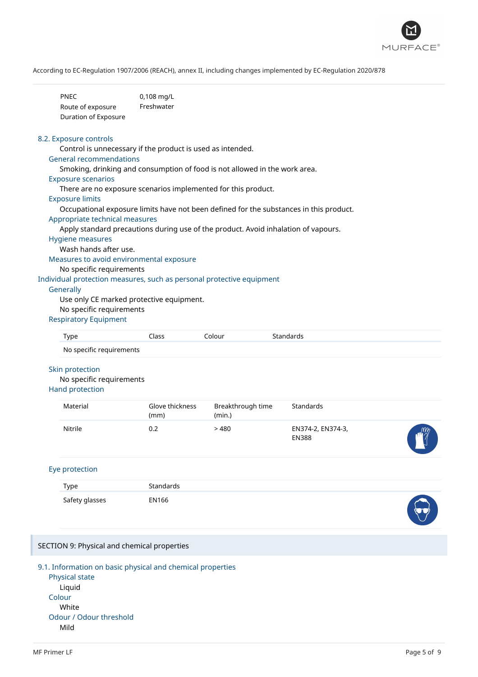

| <b>PNEC</b>          | $0,108 \,\mathrm{mq/L}$ |
|----------------------|-------------------------|
| Route of exposure    | Freshwater              |
| Duration of Exposure |                         |

#### 8.2. Exposure controls

Control is unnecessary if the product is used as intended.

#### General recommendations

Smoking, drinking and consumption of food is not allowed in the work area.

#### Exposure scenarios

There are no exposure scenarios implemented for this product.

#### Exposure limits

Occupational exposure limits have not been defined for the substances in this product.

#### Appropriate technical measures

Apply standard precautions during use of the product. Avoid inhalation of vapours.

## Hygiene measures

Wash hands after use.

Measures to avoid environmental exposure

#### No specific requirements

Individual protection measures, such as personal protective equipment

#### **Generally**

Use only CE marked protective equipment.

#### No specific requirements

## Respiratory Equipment

| <b>Type</b>                                                                  | Class                   | Colour                      | Standards                         |  |
|------------------------------------------------------------------------------|-------------------------|-----------------------------|-----------------------------------|--|
| No specific requirements                                                     |                         |                             |                                   |  |
| <b>Skin protection</b><br>No specific requirements<br><b>Hand protection</b> |                         |                             |                                   |  |
| Material                                                                     | Glove thickness<br>(mm) | Breakthrough time<br>(min.) | Standards                         |  |
| Nitrile                                                                      | 0.2                     | >480                        | EN374-2, EN374-3,<br><b>EN388</b> |  |
|                                                                              |                         |                             |                                   |  |

## Eye protection

| Type           | Standards |                   |
|----------------|-----------|-------------------|
| Safety glasses | EN166     | <b>STATISTICS</b> |

#### SECTION 9: Physical and chemical properties

## 9.1. Information on basic physical and chemical properties

Physical state Liquid Colour White Odour / Odour threshold Mild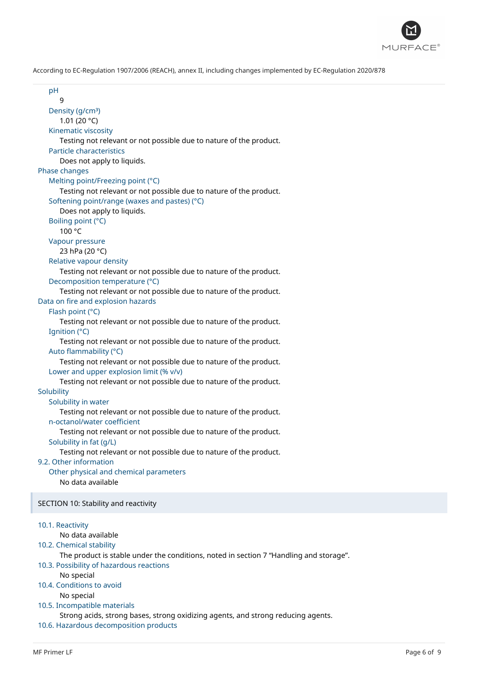

| pH<br>9                                                                                |  |
|----------------------------------------------------------------------------------------|--|
| Density (g/cm <sup>3</sup> )                                                           |  |
| 1.01 (20 $^{\circ}$ C)                                                                 |  |
| Kinematic viscosity                                                                    |  |
| Testing not relevant or not possible due to nature of the product.                     |  |
| Particle characteristics                                                               |  |
| Does not apply to liquids.                                                             |  |
| Phase changes                                                                          |  |
| Melting point/Freezing point (°C)                                                      |  |
| Testing not relevant or not possible due to nature of the product.                     |  |
| Softening point/range (waxes and pastes) (°C)                                          |  |
| Does not apply to liquids.                                                             |  |
| Boiling point (°C)                                                                     |  |
| 100 °C                                                                                 |  |
| Vapour pressure                                                                        |  |
| 23 hPa (20 °C)                                                                         |  |
| Relative vapour density                                                                |  |
| Testing not relevant or not possible due to nature of the product.                     |  |
| Decomposition temperature (°C)                                                         |  |
| Testing not relevant or not possible due to nature of the product.                     |  |
| Data on fire and explosion hazards                                                     |  |
| Flash point (°C)                                                                       |  |
| Testing not relevant or not possible due to nature of the product.                     |  |
| Ignition (°C)                                                                          |  |
| Testing not relevant or not possible due to nature of the product.                     |  |
| Auto flammability (°C)                                                                 |  |
| Testing not relevant or not possible due to nature of the product.                     |  |
| Lower and upper explosion limit (% v/v)                                                |  |
| Testing not relevant or not possible due to nature of the product.                     |  |
| Solubility                                                                             |  |
| Solubility in water                                                                    |  |
| Testing not relevant or not possible due to nature of the product.                     |  |
| n-octanol/water coefficient                                                            |  |
| Testing not relevant or not possible due to nature of the product.                     |  |
| Solubility in fat (g/L)                                                                |  |
| Testing not relevant or not possible due to nature of the product.                     |  |
| 9.2. Other information                                                                 |  |
| Other physical and chemical parameters                                                 |  |
| No data available                                                                      |  |
|                                                                                        |  |
| SECTION 10: Stability and reactivity                                                   |  |
|                                                                                        |  |
| 10.1. Reactivity                                                                       |  |
| No data available                                                                      |  |
| 10.2. Chemical stability                                                               |  |
| The product is stable under the conditions, noted in section 7 "Handling and storage". |  |
| 10.3. Possibility of hazardous reactions                                               |  |
| No special                                                                             |  |
| 10.4. Conditions to avoid                                                              |  |
| No special                                                                             |  |
| 10.5. Incompatible materials                                                           |  |
| Strong acids, strong bases, strong oxidizing agents, and strong reducing agents.       |  |
| 10.6. Hazardous decomposition products                                                 |  |
|                                                                                        |  |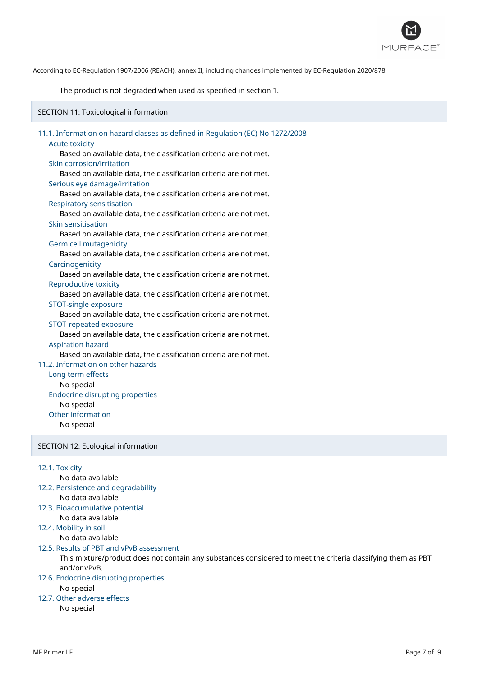

#### The product is not degraded when used as specified in section 1.

SECTION 11: Toxicological information

| 11.1. Information on hazard classes as defined in Regulation (EC) No 1272/2008 |
|--------------------------------------------------------------------------------|
| <b>Acute toxicity</b>                                                          |
| Based on available data, the classification criteria are not met.              |
| Skin corrosion/irritation                                                      |
| Based on available data, the classification criteria are not met.              |
| Serious eye damage/irritation                                                  |
| Based on available data, the classification criteria are not met.              |
| <b>Respiratory sensitisation</b>                                               |
| Based on available data, the classification criteria are not met.              |
| Skin sensitisation                                                             |
| Based on available data, the classification criteria are not met.              |
| Germ cell mutagenicity                                                         |
| Based on available data, the classification criteria are not met.              |
| Carcinogenicity                                                                |
| Based on available data, the classification criteria are not met.              |
| <b>Reproductive toxicity</b>                                                   |
| Based on available data, the classification criteria are not met.              |
| STOT-single exposure                                                           |
| Based on available data, the classification criteria are not met.              |
| STOT-repeated exposure                                                         |
| Based on available data, the classification criteria are not met.              |
| <b>Aspiration hazard</b>                                                       |
| Based on available data, the classification criteria are not met.              |
| 11.2. Information on other hazards                                             |
| Long term effects                                                              |
| No special                                                                     |
| <b>Endocrine disrupting properties</b>                                         |
| No special                                                                     |
| Other information                                                              |
| No special                                                                     |
|                                                                                |

## SECTION 12: Ecological information

## 12.1. Toxicity

No data available

- 12.2. Persistence and degradability No data available
- 12.3. Bioaccumulative potential No data available
- 12.4. Mobility in soil
	- No data available
- 12.5. Results of PBT and vPvB assessment
	- This mixture/product does not contain any substances considered to meet the criteria classifying them as PBT and/or vPvB.

## 12.6. Endocrine disrupting properties

- No special
- 12.7. Other adverse effects No special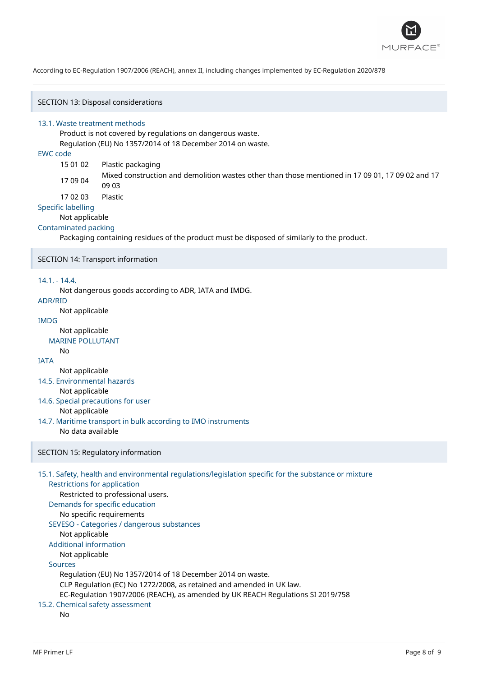

SECTION 13: Disposal considerations

#### 13.1. Waste treatment methods

Product is not covered by regulations on dangerous waste. Regulation (EU) No 1357/2014 of 18 December 2014 on waste.

## EWC code

- 15 01 02 Plastic packaging
- 17 09 04 Mixed construction and demolition wastes other than those mentioned in 17 09 01, 17 09 02 and 17 09 03
- 17 02 03 Plastic

#### Specific labelling

Not applicable

#### Contaminated packing

Packaging containing residues of the product must be disposed of similarly to the product.

#### SECTION 14: Transport information

## 14.1. - 14.4.

Not dangerous goods according to ADR, IATA and IMDG.

#### ADR/RID

Not applicable

## IMDG

Not applicable

#### MARINE POLLUTANT No

## IATA

Not applicable

## 14.5. Environmental hazards

Not applicable

- 14.6. Special precautions for user Not applicable
- 14.7. Maritime transport in bulk according to IMO instruments No data available

## SECTION 15: Regulatory information

```
15.1. Safety, health and environmental regulations/legislation specific for the substance or mixture
   Restrictions for application
      Restricted to professional users.
   Demands for specific education
      No specific requirements
  SEVESO - Categories / dangerous substances
      Not applicable
  Additional information
      Not applicable
  Sources
      Regulation (EU) No 1357/2014 of 18 December 2014 on waste.
      CLP Regulation (EC) No 1272/2008, as retained and amended in UK law.
      EC-Regulation 1907/2006 (REACH), as amended by UK REACH Regulations SI 2019/758
15.2. Chemical safety assessment
      No
```